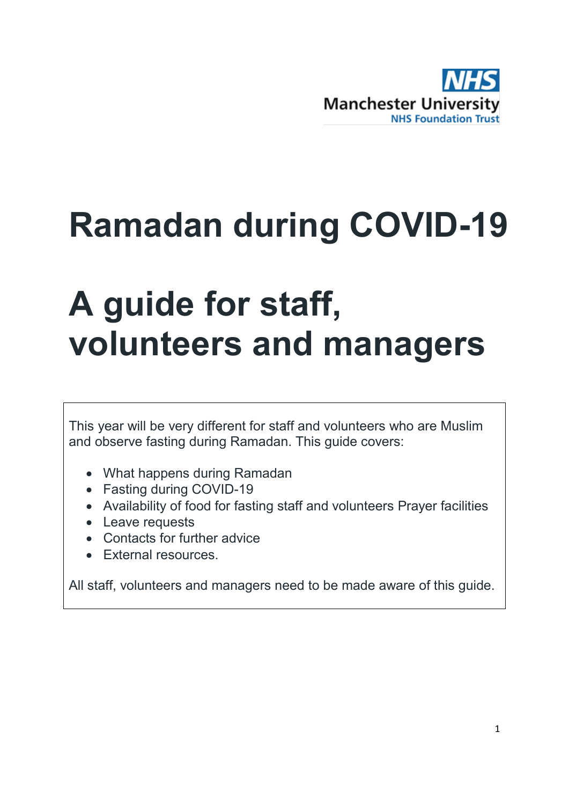

# **Ramadan during COVID-19**

# **A guide for staff, volunteers and managers**

This year will be very different for staff and volunteers who are Muslim and observe fasting during Ramadan. This guide covers:

- What happens during Ramadan
- Fasting during COVID-19
- Availability of food for fasting staff and volunteers Prayer facilities
- Leave requests
- Contacts for further advice
- External resources.

All staff, volunteers and managers need to be made aware of this guide.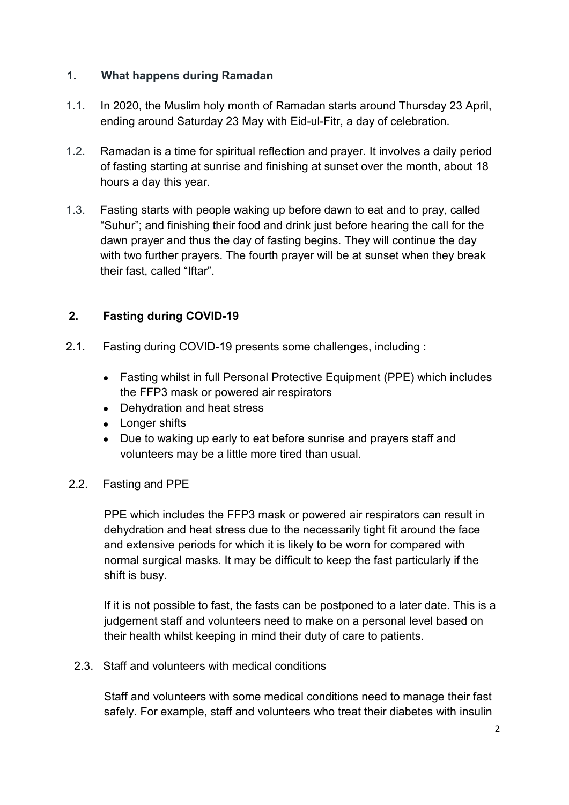#### **1. What happens during Ramadan**

- 1.1. In 2020, the Muslim holy month of Ramadan starts around Thursday 23 April, ending around Saturday 23 May with Eid-ul-Fitr, a day of celebration.
- 1.2. Ramadan is a time for spiritual reflection and prayer. It involves a daily period of fasting starting at sunrise and finishing at sunset over the month, about 18 hours a day this year.
- 1.3. Fasting starts with people waking up before dawn to eat and to pray, called "Suhur"; and finishing their food and drink just before hearing the call for the dawn prayer and thus the day of fasting begins. They will continue the day with two further prayers. The fourth prayer will be at sunset when they break their fast, called "Iftar".

# **2. Fasting during COVID-19**

- 2.1. Fasting during COVID-19 presents some challenges, including :
	- Fasting whilst in full Personal Protective Equipment (PPE) which includes the FFP3 mask or powered air respirators
	- Dehydration and heat stress
	- Longer shifts
	- Due to waking up early to eat before sunrise and prayers staff and volunteers may be a little more tired than usual.

#### 2.2. Fasting and PPE

PPE which includes the FFP3 mask or powered air respirators can result in dehydration and heat stress due to the necessarily tight fit around the face and extensive periods for which it is likely to be worn for compared with normal surgical masks. It may be difficult to keep the fast particularly if the shift is busy.

If it is not possible to fast, the fasts can be postponed to a later date. This is a judgement staff and volunteers need to make on a personal level based on their health whilst keeping in mind their duty of care to patients.

2.3. Staff and volunteers with medical conditions

Staff and volunteers with some medical conditions need to manage their fast safely. For example, staff and volunteers who treat their diabetes with insulin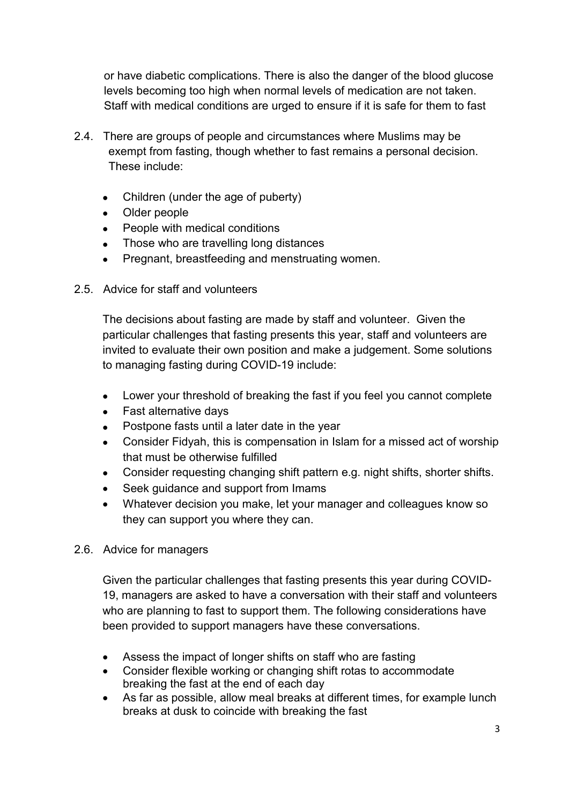or have diabetic complications. There is also the danger of the blood glucose levels becoming too high when normal levels of medication are not taken. Staff with medical conditions are urged to ensure if it is safe for them to fast

- 2.4. There are groups of people and circumstances where Muslims may be exempt from fasting, though whether to fast remains a personal decision. These include:
	- Children (under the age of puberty)
	- Older people
	- People with medical conditions
	- Those who are travelling long distances
	- Pregnant, breastfeeding and menstruating women.
- 2.5. Advice for staff and volunteers

The decisions about fasting are made by staff and volunteer. Given the particular challenges that fasting presents this year, staff and volunteers are invited to evaluate their own position and make a judgement. Some solutions to managing fasting during COVID-19 include:

- Lower your threshold of breaking the fast if you feel you cannot complete
- Fast alternative days
- Postpone fasts until a later date in the year
- Consider Fidyah, this is compensation in Islam for a missed act of worship that must be otherwise fulfilled
- Consider requesting changing shift pattern e.g. night shifts, shorter shifts.
- Seek guidance and support from Imams
- Whatever decision you make, let your manager and colleagues know so they can support you where they can.

#### 2.6. Advice for managers

Given the particular challenges that fasting presents this year during COVID-19, managers are asked to have a conversation with their staff and volunteers who are planning to fast to support them. The following considerations have been provided to support managers have these conversations.

- Assess the impact of longer shifts on staff who are fasting
- Consider flexible working or changing shift rotas to accommodate breaking the fast at the end of each day
- As far as possible, allow meal breaks at different times, for example lunch breaks at dusk to coincide with breaking the fast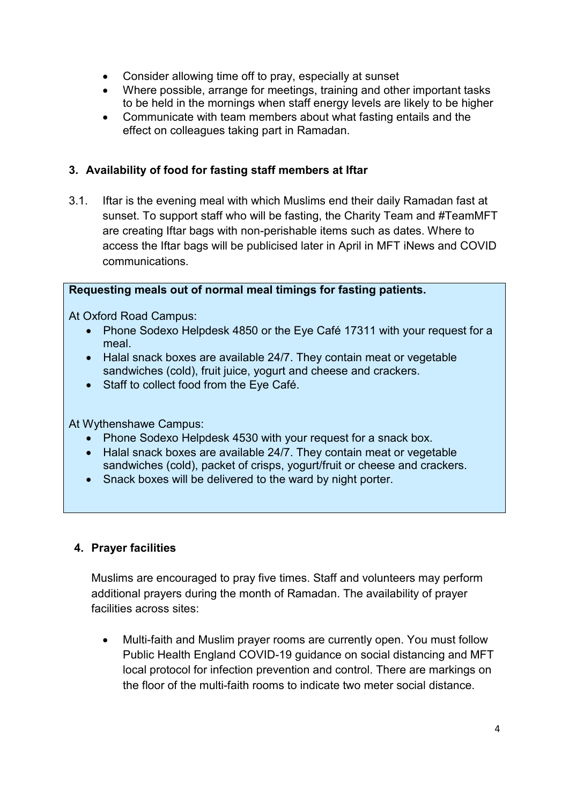- Consider allowing time off to pray, especially at sunset
- Where possible, arrange for meetings, training and other important tasks to be held in the mornings when staff energy levels are likely to be higher
- Communicate with team members about what fasting entails and the effect on colleagues taking part in Ramadan.

#### **3. Availability of food for fasting staff members at Iftar**

3.1. Iftar is the evening meal with which Muslims end their daily Ramadan fast at sunset. To support staff who will be fasting, the Charity Team and #TeamMFT are creating Iftar bags with non-perishable items such as dates. Where to access the Iftar bags will be publicised later in April in MFT iNews and COVID communications.

#### **Requesting meals out of normal meal timings for fasting patients.**

At Oxford Road Campus:

- Phone Sodexo Helpdesk 4850 or the Eye Café 17311 with your request for a meal.
- Halal snack boxes are available 24/7. They contain meat or vegetable sandwiches (cold), fruit juice, yogurt and cheese and crackers.
- Staff to collect food from the Eye Café.

At Wythenshawe Campus:

- Phone Sodexo Helpdesk 4530 with your request for a snack box.
- Halal snack boxes are available 24/7. They contain meat or vegetable sandwiches (cold), packet of crisps, yogurt/fruit or cheese and crackers.
- Snack boxes will be delivered to the ward by night porter.

#### **4. Prayer facilities**

Muslims are encouraged to pray five times. Staff and volunteers may perform additional prayers during the month of Ramadan. The availability of prayer facilities across sites:

• Multi-faith and Muslim prayer rooms are currently open. You must follow Public Health England COVID-19 guidance on social distancing and MFT local protocol for infection prevention and control. There are markings on the floor of the multi-faith rooms to indicate two meter social distance.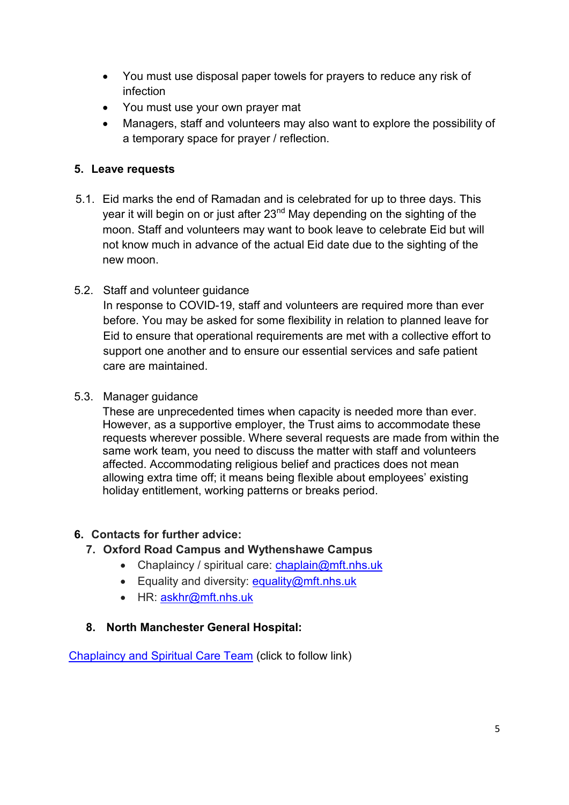- You must use disposal paper towels for prayers to reduce any risk of infection
- You must use your own prayer mat
- Managers, staff and volunteers may also want to explore the possibility of a temporary space for prayer / reflection.

## **5. Leave requests**

- 5.1. Eid marks the end of Ramadan and is celebrated for up to three days. This year it will begin on or just after 23<sup>nd</sup> May depending on the sighting of the moon. Staff and volunteers may want to book leave to celebrate Eid but will not know much in advance of the actual Eid date due to the sighting of the new moon.
- 5.2. Staff and volunteer guidance

In response to COVID-19, staff and volunteers are required more than ever before. You may be asked for some flexibility in relation to planned leave for Eid to ensure that operational requirements are met with a collective effort to support one another and to ensure our essential services and safe patient care are maintained.

5.3. Manager guidance

These are unprecedented times when capacity is needed more than ever. However, as a supportive employer, the Trust aims to accommodate these requests wherever possible. Where several requests are made from within the same work team, you need to discuss the matter with staff and volunteers affected. Accommodating religious belief and practices does not mean allowing extra time off; it means being flexible about employees' existing holiday entitlement, working patterns or breaks period.

#### **6. Contacts for further advice:**

- **7. Oxford Road Campus and Wythenshawe Campus**
	- Chaplaincy / spiritual care: [chaplain@mft.nhs.uk](mailto:chaplain@mft.nhs.uk)
	- Equality and diversity: [equality@mft.nhs.uk](mailto:equality@mft.nhs.uk)
	- HR: [askhr@mft.nhs.uk](mailto:askhr@mft.nhs.uk)

#### **8. North Manchester General Hospital:**

[Chaplaincy and Spiritual Care Team](http://nww.pat.nhs.uk/corporate-departments/Spiritual%20Care%20Team/chaplaincy-and-spiritual-care-team.htm) (click to follow link)